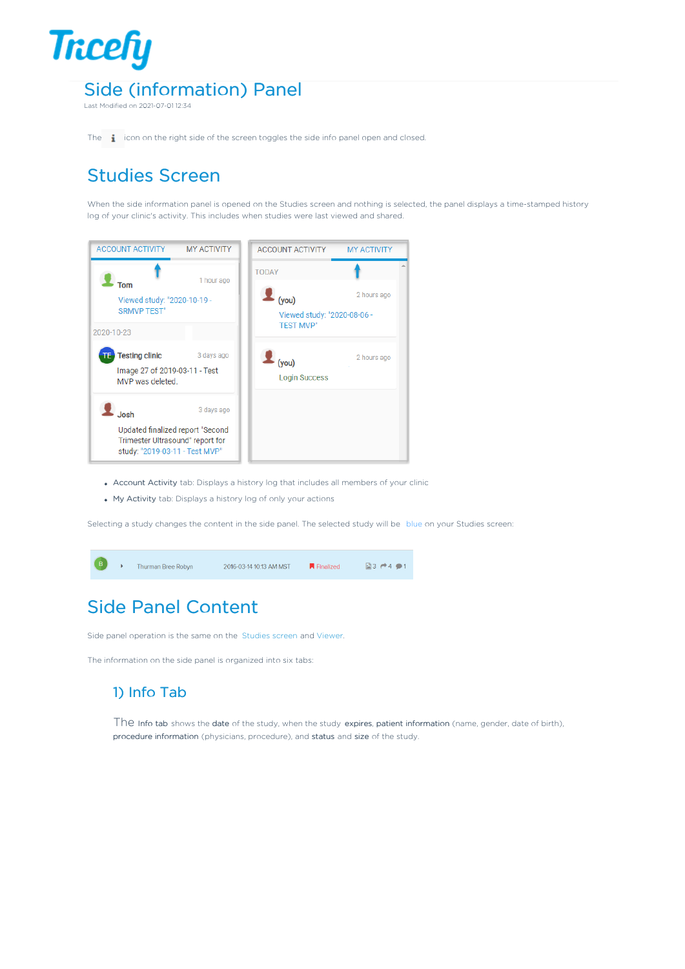

Last Modified on 2021-07-01 12:34

The **i** icon on the right side of the screen toggles the side info panel open and closed.

## Studies Screen

When the side information panel is opened on the Studies screen and nothing is selected, the panel displays a time-stamped history log of your clinic's activity. This includes when studies were last viewed and shared.



- Account Activity tab: Displays a history log that includes all members of your clinic
- My Activity tab: Displays a history log of only your actions

Selecting a study changes the content in the side panel. The selected study will be blue on your Studies screen:



# Side Panel Content

Side panel operation is the same on the Studies screen and Viewer.

The information on the side panel is organized into six tabs:

### 1) Info Tab

The Info tab shows the date of the study, when the study expires, patient information (name, gender, date of birth), procedure information (physicians, procedure), and status and size of the study.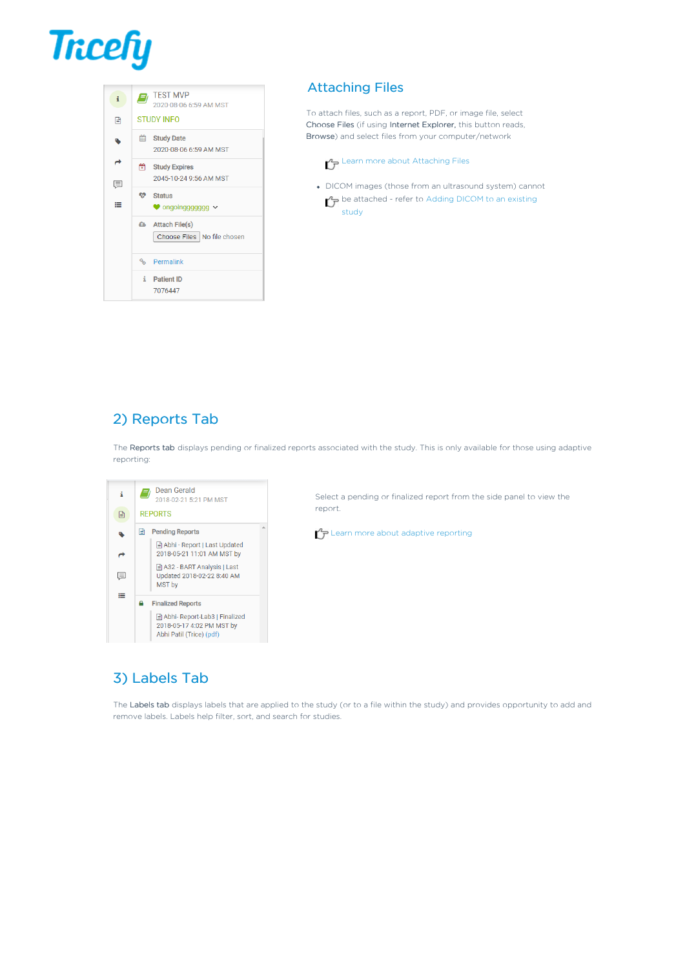# **Tricefy**



#### Attaching Files

To attach files, such as a report, PDF, or image file, select Choose Files (if using Internet Explorer, this button reads, Browse) and select files from your computer/network

#### Learn more about Attaching Files

DICOM images (those from an ultrasound system) cannot  $\mathcal{F}$  be attached - refer to Adding DICOM to an existing study

## 2) Reports Tab

The Reports tab displays pending or finalized reports associated with the study. This is only available for those using adaptive reporting:



Select a pending or finalized report from the side panel to view the report.

 $\Gamma$ P Learn more about adaptive reporting

### 3) Labels Tab

The Labels tab displays labels that are applied to the study (or to a file within the study) and provides opportunity to add and remove labels. Labels help filter, sort, and search for studies.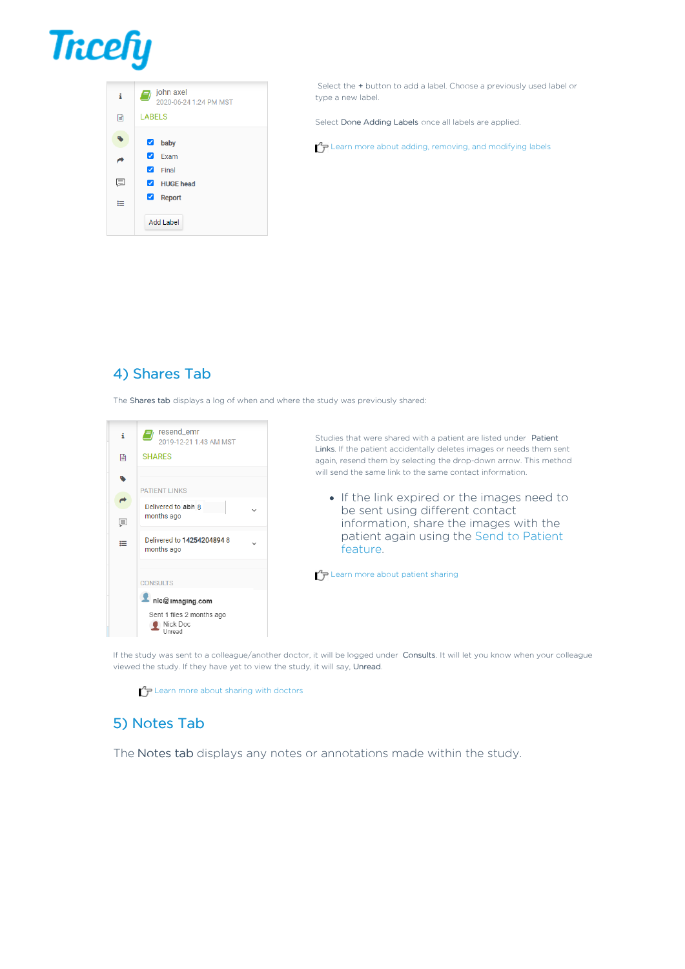



Select the + button to add a label. Choose a previously used label or type a new label.

Select Done Adding Labels once all labels are applied.

 $P$  Learn more about adding, removing, and modifying labels

#### 4) Shares Tab

The Shares tab displays a log of when and where the study was previously shared:



Studies that were shared with a patient are listed under Patient Links. If the patient accidentally deletes images or needs them sent again, resend them by selecting the drop-down arrow. This method will send the same link to the same contact information.

• If the link expired or the images need to be sent using different contact information, share the images with the patient again using the Send to Patient feature.

 $\bigcap_{i=1}^{n}$  Learn more about patient sharing

If the study was sent to a colleague/another doctor, it will be logged under Consults. It will let you know when your colleague viewed the study. If they have yet to view the study, it will say, Unread.

 $\Gamma$ P Learn more about sharing with doctors

#### 5) Notes Tab

The Notes tab displays any notes or annotations made within the study.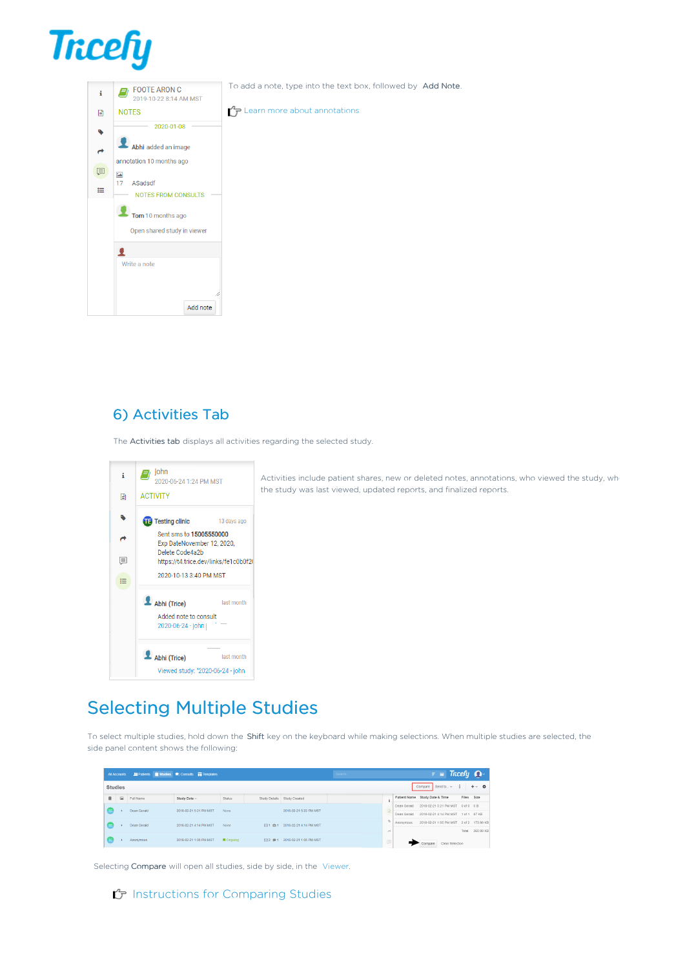



To add a note, type into the text box, followed by Add Note.

 $\mathcal{L}_{\mathcal{F}}$  Learn more about annotations

### 6) Activities Tab

The Activities tab displays all activities regarding the selected study.

| i | john<br>2020-06-24 1:24 PM MST                           |
|---|----------------------------------------------------------|
| r | <b>ACTIVITY</b>                                          |
|   | <b>Testing clinic</b><br>13 days ago                     |
|   | Sent sms to 15005550000<br>Exp DateNovember 12, 2020,    |
| 耳 | Delete Code4a2b<br>https://t4.trice.dev/links/fe1c0b0f2( |
| ⋿ | 2020-10-13 3:40 PM MST                                   |
|   | Abhi (Trice)<br>last month                               |
|   | Added note to consult<br>2020-06-24 - john               |
|   | Abhi (Trice)<br>last month                               |
|   | Viewed study: "2020-06-24 - john                         |

Activities include patient shares, new or deleted notes, annotations, who viewed the study, wh the study was last viewed, updated reports, and finalized reports.

## Selecting Multiple Studies

To select multiple studies, hold down the Shift key on the keyboard while making selections. When multiple studies are selected, the side panel content shows the following:

|                                                                | All Accounts |             | <b>10</b> Patients <b>N</b> Studies <b>Consults N</b> Templates |                  |                        |                                   | Search |               |                        |                                                   | $\overline{z}$ = Tricely $\Omega$ |              |           |
|----------------------------------------------------------------|--------------|-------------|-----------------------------------------------------------------|------------------|------------------------|-----------------------------------|--------|---------------|------------------------|---------------------------------------------------|-----------------------------------|--------------|-----------|
| Compare Send to  v :<br>$+$ $\circ$ $\alpha$<br><b>Studies</b> |              |             |                                                                 |                  |                        |                                   |        |               |                        |                                                   |                                   |              |           |
| п                                                              | 圖            | Full Name   | Study Date ~                                                    | Status           |                        | Study Details Study Created       |        |               |                        | Patient Name Study Date & Time                    |                                   | Files Size   |           |
|                                                                |              |             |                                                                 |                  |                        |                                   |        |               |                        | Dean Gerald 2018-02-21 5:21 PM MST 0 of 0 0 B     |                                   |              |           |
|                                                                |              | Dean Gerald | 2018-02-21 5:21 PM MST                                          | None             | 2018-02-21 5:22 PM MST |                                   |        | Dean Gerald   | 2018-02-21 4:14 PM MST |                                                   |                                   | 1 of 1 87 KB |           |
|                                                                |              | Dean Gerald | 2018-02-21 4:14 PM MST                                          | None             |                        | FEI 1 (011 2018-02-21 4:14 PM MST |        |               |                        | Anonymous 2018-02-21 1:05 PM MST 2 of 2 173.99 KB |                                   |              |           |
|                                                                |              |             |                                                                 |                  |                        |                                   |        | $\rightarrow$ |                        |                                                   |                                   | Total        | 260.99 KB |
|                                                                |              | Anonymous   | 2018-02-21 1:05 PM MST                                          | <b>R</b> Ongoing |                        | Fil 2 ● 1 2018-02-21 1:05 PM MST  |        | $\Box$        |                        |                                                   | Clear Selection                   |              |           |

Selecting Compare will open all studies, side by side, in the Viewer.

#### f Instructions for Comparing Studies